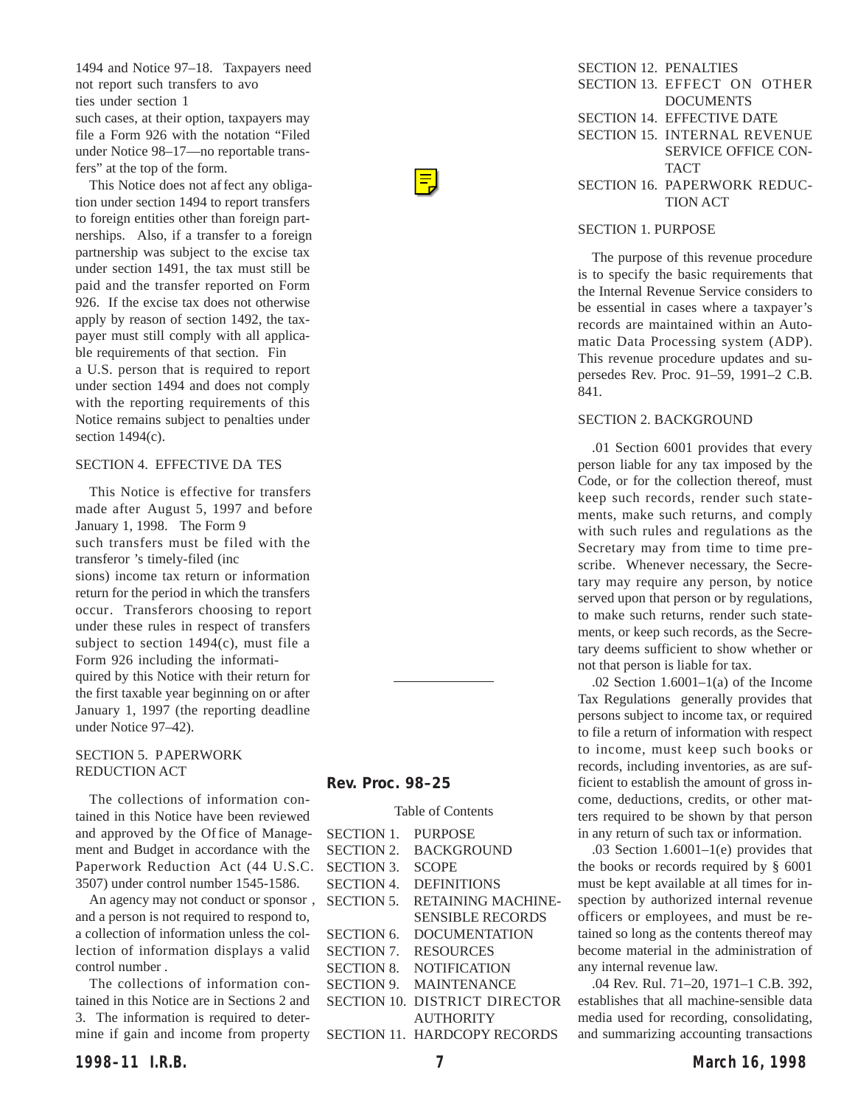| <b>SECTION 12. PENALTIES</b> |                              |
|------------------------------|------------------------------|
|                              | SECTION 13. EFFECT ON OTHER  |
|                              | <b>DOCUMENTS</b>             |
|                              | SECTION 14. EFFECTIVE DATE   |
|                              | SECTION 15. INTERNAL REVENUE |
|                              | <b>SERVICE OFFICE CON-</b>   |
|                              | <b>TACT</b>                  |
|                              | SECTION 16. PAPERWORK REDUC- |
|                              | <b>TION ACT</b>              |
|                              |                              |

#### SECTION 1. PURPOSE

The purpose of this revenue procedure is to specify the basic requirements that the Internal Revenue Service considers to be essential in cases where a taxpayer's records are maintained within an Automatic Data Processing system (ADP). This revenue procedure updates and supersedes Rev. Proc. 91–59, 1991–2 C.B. 841.

### SECTION 2. BACKGROUND

.01 Section 6001 provides that every person liable for any tax imposed by the Code, or for the collection thereof, must keep such records, render such statements, make such returns, and comply with such rules and regulations as the Secretary may from time to time prescribe. Whenever necessary, the Secretary may require any person, by notice served upon that person or by regulations, to make such returns, render such statements, or keep such records, as the Secretary deems sufficient to show whether or not that person is liable for tax.

.02 Section  $1.6001-1(a)$  of the Income Tax Regulations generally provides that persons subject to income tax, or required to file a return of information with respect to income, must keep such books or records, including inventories, as are sufficient to establish the amount of gross income, deductions, credits, or other matters required to be shown by that person in any return of such tax or information.

.03 Section 1.6001–1(e) provides that the books or records required by § 6001 must be kept available at all times for inspection by authorized internal revenue officers or employees, and must be retained so long as the contents thereof may become material in the administration of any internal revenue law.

.04 Rev. Rul. 71–20, 1971–1 C.B. 392, establishes that all machine-sensible data media used for recording, consolidating, and summarizing accounting transactions

This Notice does not affect any obliga-

nerships. Also, if a transfer to a foreign to a foreign to a foreign to a foreign to a foreign to a foreign to a foreign to a foreign to a foreign to a foreign to a foreign to a foreign to a foreign to a foreign to a forei

made after August 5, 1997 and before

#### **Rev. Proc. 98–25**

#### Table of Contents  $\mathbf{S}$  in post

| SECTION 1. PURPOSE |                                      |
|--------------------|--------------------------------------|
|                    | SECTION 2. BACKGROUND                |
| SECTION 3.         | <b>SCOPE</b>                         |
|                    | SECTION 4. DEFINITIONS               |
|                    | SECTION 5. RETAINING MACHINE-        |
|                    | <b>SENSIBLE RECORDS</b>              |
|                    | SECTION 6. DOCUMENTATION             |
|                    | SECTION 7. RESOURCES                 |
|                    | SECTION 8. NOTIFICATION              |
|                    | SECTION 9. MAINTENANCE               |
|                    | <b>SECTION 10. DISTRICT DIRECTOR</b> |
|                    | <b>AUTHORITY</b>                     |
|                    | <b>SECTION 11. HARDCOPY RECORDS</b>  |
|                    |                                      |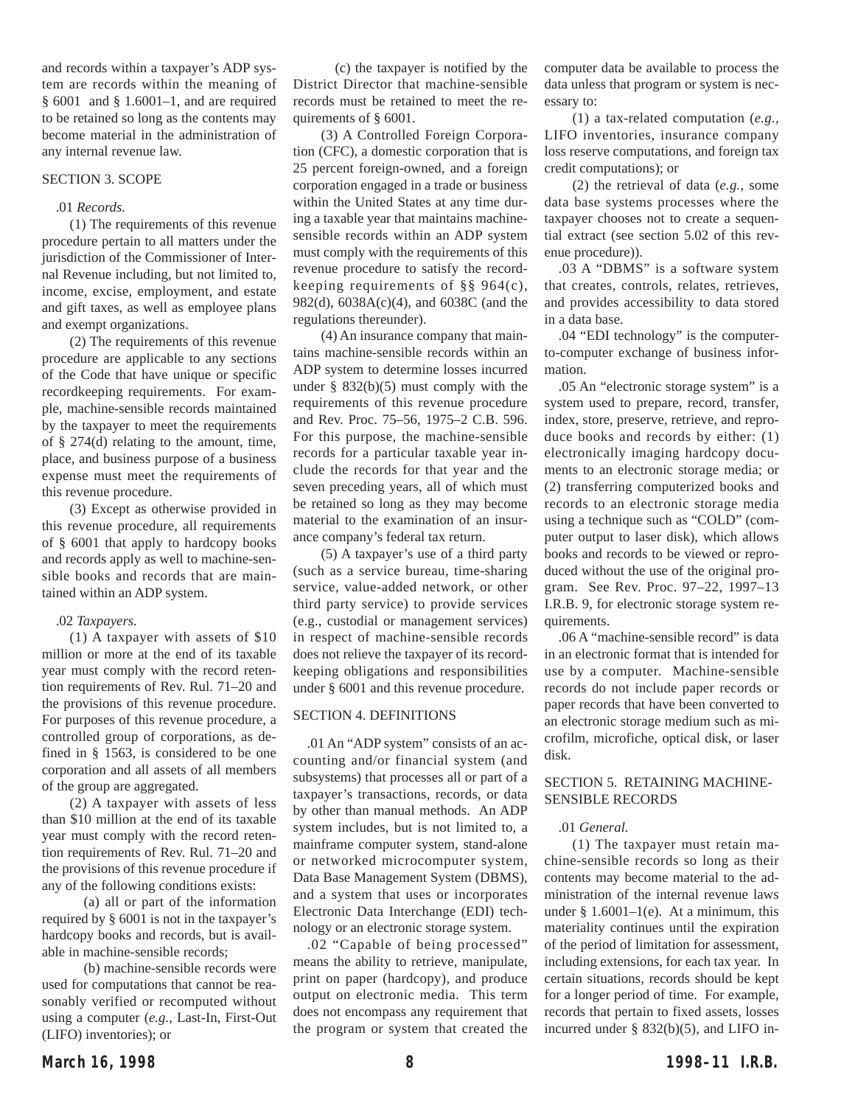and records within a taxpayer's ADP system are records within the meaning of § 6001 and § 1.6001–1, and are required to be retained so long as the contents may become material in the administration of any internal revenue law.

## SECTION 3. SCOPE

## .01 *Records.*

(1) The requirements of this revenue procedure pertain to all matters under the jurisdiction of the Commissioner of Internal Revenue including, but not limited to, income, excise, employment, and estate and gift taxes, as well as employee plans and exempt organizations.

(2) The requirements of this revenue procedure are applicable to any sections of the Code that have unique or specific recordkeeping requirements. For example, machine-sensible records maintained by the taxpayer to meet the requirements of § 274(d) relating to the amount, time, place, and business purpose of a business expense must meet the requirements of this revenue procedure.

(3) Except as otherwise provided in this revenue procedure, all requirements of § 6001 that apply to hardcopy books and records apply as well to machine-sensible books and records that are maintained within an ADP system.

#### .02 *Taxpayers.*

(1) A taxpayer with assets of \$10 million or more at the end of its taxable year must comply with the record retention requirements of Rev. Rul. 71–20 and the provisions of this revenue procedure. For purposes of this revenue procedure, a controlled group of corporations, as defined in § 1563, is considered to be one corporation and all assets of all members of the group are aggregated.

(2) A taxpayer with assets of less than \$10 million at the end of its taxable year must comply with the record retention requirements of Rev. Rul. 71–20 and the provisions of this revenue procedure if any of the following conditions exists:

(a) all or part of the information required by § 6001 is not in the taxpayer's hardcopy books and records, but is available in machine-sensible records;

(b) machine-sensible records were used for computations that cannot be reasonably verified or recomputed without using a computer (*e.g.,* Last-In, First-Out (LIFO) inventories); or

(c) the taxpayer is notified by the District Director that machine-sensible records must be retained to meet the requirements of § 6001.

(3) A Controlled Foreign Corporation (CFC), a domestic corporation that is 25 percent foreign-owned, and a foreign corporation engaged in a trade or business within the United States at any time during a taxable year that maintains machinesensible records within an ADP system must comply with the requirements of this revenue procedure to satisfy the recordkeeping requirements of §§ 964(c), 982(d), 6038A(c)(4), and 6038C (and the regulations thereunder).

(4) An insurance company that maintains machine-sensible records within an ADP system to determine losses incurred under  $\S$  832(b)(5) must comply with the requirements of this revenue procedure and Rev. Proc. 75–56, 1975–2 C.B. 596. For this purpose, the machine-sensible records for a particular taxable year include the records for that year and the seven preceding years, all of which must be retained so long as they may become material to the examination of an insurance company's federal tax return.

(5) A taxpayer's use of a third party (such as a service bureau, time-sharing service, value-added network, or other third party service) to provide services (e.g., custodial or management services) in respect of machine-sensible records does not relieve the taxpayer of its recordkeeping obligations and responsibilities under § 6001 and this revenue procedure.

### SECTION 4. DEFINITIONS

.01 An "ADP system" consists of an accounting and/or financial system (and subsystems) that processes all or part of a taxpayer's transactions, records, or data by other than manual methods. An ADP system includes, but is not limited to, a mainframe computer system, stand-alone or networked microcomputer system, Data Base Management System (DBMS), and a system that uses or incorporates Electronic Data Interchange (EDI) technology or an electronic storage system.

.02 "Capable of being processed" means the ability to retrieve, manipulate, print on paper (hardcopy), and produce output on electronic media. This term does not encompass any requirement that the program or system that created the

computer data be available to process the data unless that program or system is necessary to:

(1) a tax-related computation (*e.g.,* LIFO inventories, insurance company loss reserve computations, and foreign tax credit computations); or

(2) the retrieval of data (*e.g.,* some data base systems processes where the taxpayer chooses not to create a sequential extract (see section 5.02 of this revenue procedure)).

.03 A "DBMS" is a software system that creates, controls, relates, retrieves, and provides accessibility to data stored in a data base.

.04 "EDI technology" is the computerto-computer exchange of business information.

.05 An "electronic storage system" is a system used to prepare, record, transfer, index, store, preserve, retrieve, and reproduce books and records by either: (1) electronically imaging hardcopy documents to an electronic storage media; or (2) transferring computerized books and records to an electronic storage media using a technique such as "COLD" (computer output to laser disk), which allows books and records to be viewed or reproduced without the use of the original program. See Rev. Proc. 97–22, 1997–13 I.R.B. 9, for electronic storage system requirements.

.06 A "machine-sensible record" is data in an electronic format that is intended for use by a computer. Machine-sensible records do not include paper records or paper records that have been converted to an electronic storage medium such as microfilm, microfiche, optical disk, or laser disk.

## SECTION 5. RETAINING MACHINE-SENSIBLE RECORDS

### .01 *General.*

(1) The taxpayer must retain machine-sensible records so long as their contents may become material to the administration of the internal revenue laws under  $§ 1.6001-1(e)$ . At a minimum, this materiality continues until the expiration of the period of limitation for assessment, including extensions, for each tax year. In certain situations, records should be kept for a longer period of time. For example, records that pertain to fixed assets, losses incurred under § 832(b)(5), and LIFO in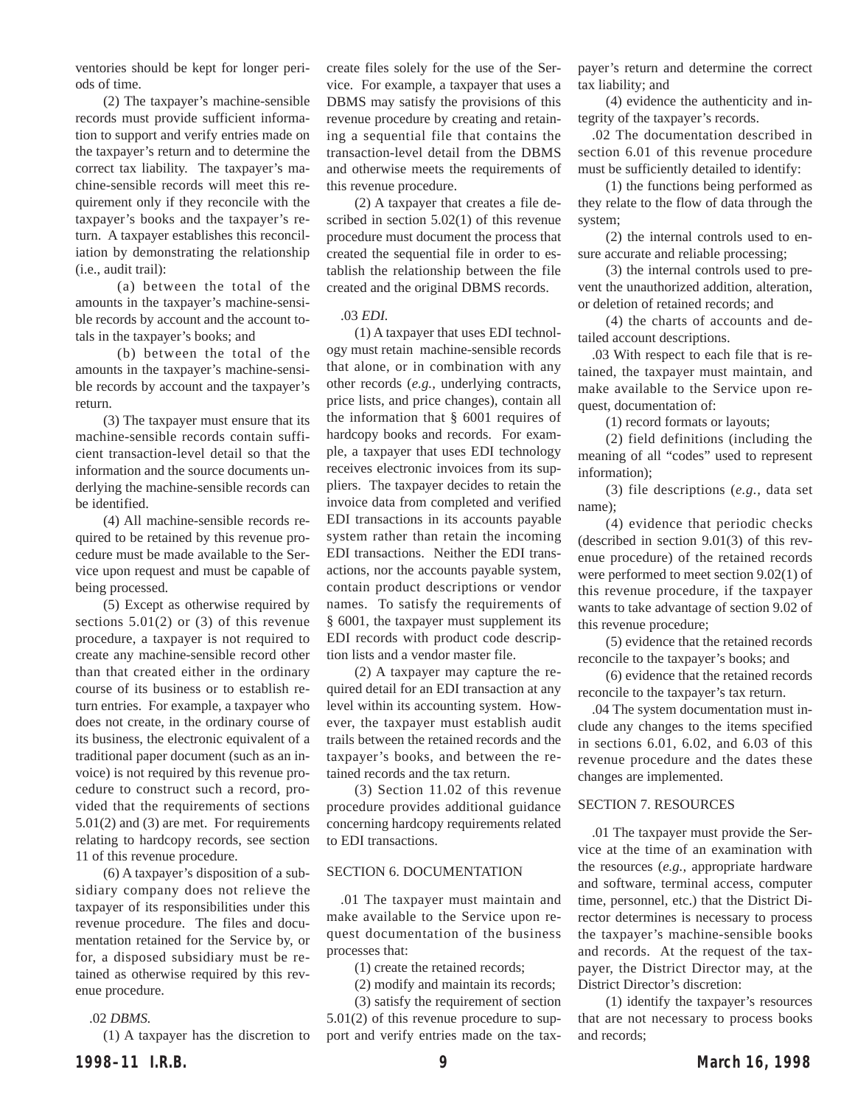ventories should be kept for longer periods of time.

(2) The taxpayer's machine-sensible records must provide sufficient information to support and verify entries made on the taxpayer's return and to determine the correct tax liability. The taxpayer's machine-sensible records will meet this requirement only if they reconcile with the taxpayer's books and the taxpayer's return. A taxpayer establishes this reconciliation by demonstrating the relationship (i.e., audit trail):

(a) between the total of the amounts in the taxpayer's machine-sensible records by account and the account totals in the taxpayer's books; and

(b) between the total of the amounts in the taxpayer's machine-sensible records by account and the taxpayer's return.

(3) The taxpayer must ensure that its machine-sensible records contain sufficient transaction-level detail so that the information and the source documents underlying the machine-sensible records can be identified.

(4) All machine-sensible records required to be retained by this revenue procedure must be made available to the Service upon request and must be capable of being processed.

(5) Except as otherwise required by sections  $5.01(2)$  or  $(3)$  of this revenue procedure, a taxpayer is not required to create any machine-sensible record other than that created either in the ordinary course of its business or to establish return entries. For example, a taxpayer who does not create, in the ordinary course of its business, the electronic equivalent of a traditional paper document (such as an invoice) is not required by this revenue procedure to construct such a record, provided that the requirements of sections 5.01(2) and (3) are met. For requirements relating to hardcopy records, see section 11 of this revenue procedure.

(6) A taxpayer's disposition of a subsidiary company does not relieve the taxpayer of its responsibilities under this revenue procedure. The files and documentation retained for the Service by, or for, a disposed subsidiary must be retained as otherwise required by this revenue procedure.

### .02 *DBMS.*

(1) A taxpayer has the discretion to

create files solely for the use of the Service. For example, a taxpayer that uses a DBMS may satisfy the provisions of this revenue procedure by creating and retaining a sequential file that contains the transaction-level detail from the DBMS and otherwise meets the requirements of this revenue procedure.

(2) A taxpayer that creates a file described in section 5.02(1) of this revenue procedure must document the process that created the sequential file in order to establish the relationship between the file created and the original DBMS records.

### .03 *EDI.*

(1) A taxpayer that uses EDI technology must retain machine-sensible records that alone, or in combination with any other records (*e.g.,* underlying contracts, price lists, and price changes), contain all the information that § 6001 requires of hardcopy books and records. For example, a taxpayer that uses EDI technology receives electronic invoices from its suppliers. The taxpayer decides to retain the invoice data from completed and verified EDI transactions in its accounts payable system rather than retain the incoming EDI transactions. Neither the EDI transactions, nor the accounts payable system, contain product descriptions or vendor names. To satisfy the requirements of § 6001, the taxpayer must supplement its EDI records with product code description lists and a vendor master file.

(2) A taxpayer may capture the required detail for an EDI transaction at any level within its accounting system. However, the taxpayer must establish audit trails between the retained records and the taxpayer's books, and between the retained records and the tax return.

(3) Section 11.02 of this revenue procedure provides additional guidance concerning hardcopy requirements related to EDI transactions.

#### SECTION 6. DOCUMENTATION

.01 The taxpayer must maintain and make available to the Service upon request documentation of the business processes that:

(1) create the retained records;

(2) modify and maintain its records;

(3) satisfy the requirement of section 5.01(2) of this revenue procedure to support and verify entries made on the taxpayer's return and determine the correct tax liability; and

(4) evidence the authenticity and integrity of the taxpayer's records.

.02 The documentation described in section 6.01 of this revenue procedure must be sufficiently detailed to identify:

(1) the functions being performed as they relate to the flow of data through the system;

(2) the internal controls used to ensure accurate and reliable processing;

(3) the internal controls used to prevent the unauthorized addition, alteration, or deletion of retained records; and

(4) the charts of accounts and detailed account descriptions.

.03 With respect to each file that is retained, the taxpayer must maintain, and make available to the Service upon request, documentation of:

(1) record formats or layouts;

(2) field definitions (including the meaning of all "codes" used to represent information);

(3) file descriptions (*e.g.,* data set name);

(4) evidence that periodic checks (described in section 9.01(3) of this revenue procedure) of the retained records were performed to meet section 9.02(1) of this revenue procedure, if the taxpayer wants to take advantage of section 9.02 of this revenue procedure;

(5) evidence that the retained records reconcile to the taxpayer's books; and

(6) evidence that the retained records reconcile to the taxpayer's tax return.

.04 The system documentation must include any changes to the items specified in sections 6.01, 6.02, and 6.03 of this revenue procedure and the dates these changes are implemented.

### SECTION 7. RESOURCES

.01 The taxpayer must provide the Service at the time of an examination with the resources (*e.g.,* appropriate hardware and software, terminal access, computer time, personnel, etc.) that the District Director determines is necessary to process the taxpayer's machine-sensible books and records. At the request of the taxpayer, the District Director may, at the District Director's discretion:

(1) identify the taxpayer's resources that are not necessary to process books and records;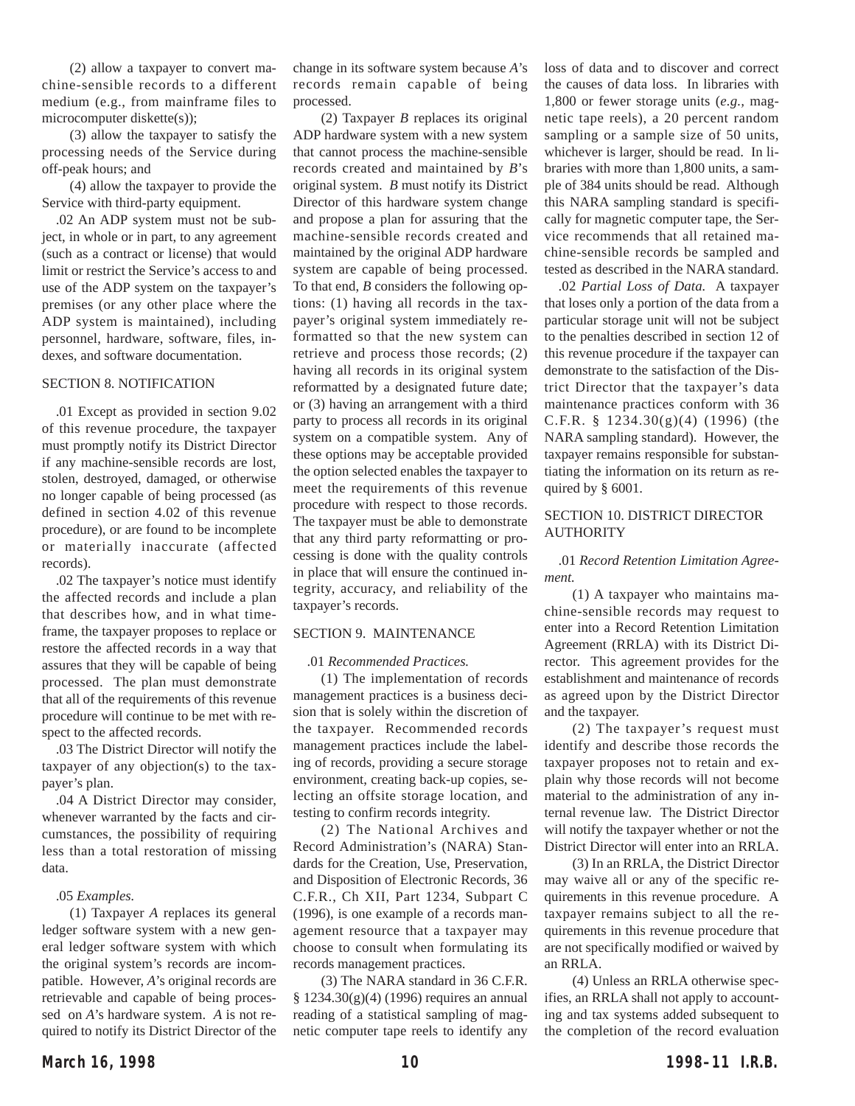(2) allow a taxpayer to convert machine-sensible records to a different medium (e.g., from mainframe files to microcomputer diskette(s));

(3) allow the taxpayer to satisfy the processing needs of the Service during off-peak hours; and

(4) allow the taxpayer to provide the Service with third-party equipment.

.02 An ADP system must not be subject, in whole or in part, to any agreement (such as a contract or license) that would limit or restrict the Service's access to and use of the ADP system on the taxpayer's premises (or any other place where the ADP system is maintained), including personnel, hardware, software, files, indexes, and software documentation.

### SECTION 8. NOTIFICATION

.01 Except as provided in section 9.02 of this revenue procedure, the taxpayer must promptly notify its District Director if any machine-sensible records are lost, stolen, destroyed, damaged, or otherwise no longer capable of being processed (as defined in section 4.02 of this revenue procedure), or are found to be incomplete or materially inaccurate (affected records).

.02 The taxpayer's notice must identify the affected records and include a plan that describes how, and in what timeframe, the taxpayer proposes to replace or restore the affected records in a way that assures that they will be capable of being processed. The plan must demonstrate that all of the requirements of this revenue procedure will continue to be met with respect to the affected records.

.03 The District Director will notify the taxpayer of any objection(s) to the taxpayer's plan.

.04 A District Director may consider, whenever warranted by the facts and circumstances, the possibility of requiring less than a total restoration of missing data.

#### .05 *Examples.*

(1) Taxpayer *A* replaces its general ledger software system with a new general ledger software system with which the original system's records are incompatible. However, *A*'s original records are retrievable and capable of being processed on *A*'s hardware system. *A* is not required to notify its District Director of the

change in its software system because *A*'s records remain capable of being processed.

(2) Taxpayer *B* replaces its original ADP hardware system with a new system that cannot process the machine-sensible records created and maintained by *B*'s original system. *B* must notify its District Director of this hardware system change and propose a plan for assuring that the machine-sensible records created and maintained by the original ADP hardware system are capable of being processed. To that end, *B* considers the following options: (1) having all records in the taxpayer's original system immediately reformatted so that the new system can retrieve and process those records; (2) having all records in its original system reformatted by a designated future date; or (3) having an arrangement with a third party to process all records in its original system on a compatible system. Any of these options may be acceptable provided the option selected enables the taxpayer to meet the requirements of this revenue procedure with respect to those records. The taxpayer must be able to demonstrate that any third party reformatting or processing is done with the quality controls in place that will ensure the continued integrity, accuracy, and reliability of the taxpayer's records.

### SECTION 9. MAINTENANCE

.01 *Recommended Practices.*

(1) The implementation of records management practices is a business decision that is solely within the discretion of the taxpayer. Recommended records management practices include the labeling of records, providing a secure storage environment, creating back-up copies, selecting an offsite storage location, and testing to confirm records integrity.

(2) The National Archives and Record Administration's (NARA) Standards for the Creation, Use, Preservation, and Disposition of Electronic Records, 36 C.F.R., Ch XII, Part 1234, Subpart C (1996), is one example of a records management resource that a taxpayer may choose to consult when formulating its records management practices.

(3) The NARA standard in 36 C.F.R. § 1234.30(g)(4) (1996) requires an annual reading of a statistical sampling of magnetic computer tape reels to identify any

loss of data and to discover and correct the causes of data loss. In libraries with 1,800 or fewer storage units (*e.g.,* magnetic tape reels), a 20 percent random sampling or a sample size of 50 units, whichever is larger, should be read. In libraries with more than 1,800 units, a sample of 384 units should be read. Although this NARA sampling standard is specifically for magnetic computer tape, the Service recommends that all retained machine-sensible records be sampled and tested as described in the NARA standard.

.02 *Partial Loss of Data.* A taxpayer that loses only a portion of the data from a particular storage unit will not be subject to the penalties described in section 12 of this revenue procedure if the taxpayer can demonstrate to the satisfaction of the District Director that the taxpayer's data maintenance practices conform with 36 C.F.R.  $§$  1234.30(g)(4) (1996) (the NARA sampling standard). However, the taxpayer remains responsible for substantiating the information on its return as required by § 6001.

## SECTION 10. DISTRICT DIRECTOR AUTHORITY

.01 *Record Retention Limitation Agreement.*

(1) A taxpayer who maintains machine-sensible records may request to enter into a Record Retention Limitation Agreement (RRLA) with its District Director. This agreement provides for the establishment and maintenance of records as agreed upon by the District Director and the taxpayer.

(2) The taxpayer's request must identify and describe those records the taxpayer proposes not to retain and explain why those records will not become material to the administration of any internal revenue law. The District Director will notify the taxpayer whether or not the District Director will enter into an RRLA.

(3) In an RRLA, the District Director may waive all or any of the specific requirements in this revenue procedure. A taxpayer remains subject to all the requirements in this revenue procedure that are not specifically modified or waived by an RRLA.

(4) Unless an RRLA otherwise specifies, an RRLA shall not apply to accounting and tax systems added subsequent to the completion of the record evaluation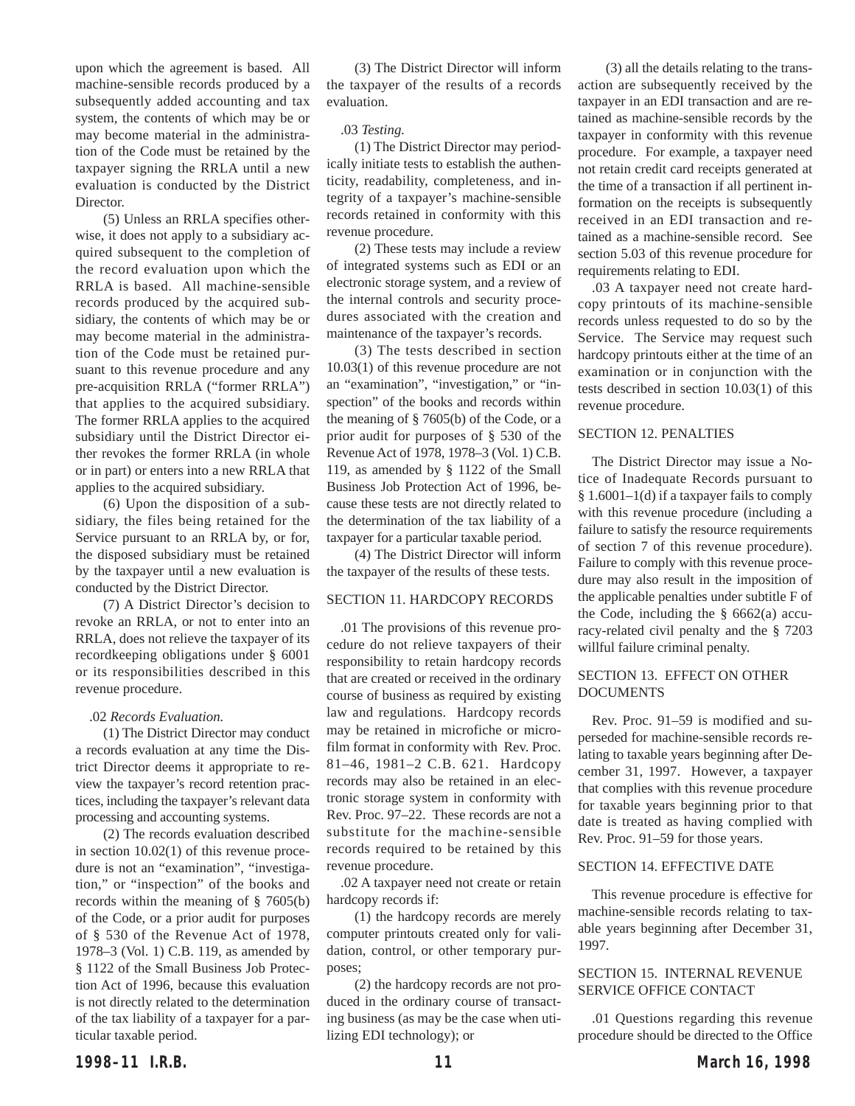upon which the agreement is based. All machine-sensible records produced by a subsequently added accounting and tax system, the contents of which may be or may become material in the administration of the Code must be retained by the taxpayer signing the RRLA until a new evaluation is conducted by the District **Director** 

(5) Unless an RRLA specifies otherwise, it does not apply to a subsidiary acquired subsequent to the completion of the record evaluation upon which the RRLA is based. All machine-sensible records produced by the acquired subsidiary, the contents of which may be or may become material in the administration of the Code must be retained pursuant to this revenue procedure and any pre-acquisition RRLA ("former RRLA") that applies to the acquired subsidiary. The former RRLA applies to the acquired subsidiary until the District Director either revokes the former RRLA (in whole or in part) or enters into a new RRLA that applies to the acquired subsidiary.

(6) Upon the disposition of a subsidiary, the files being retained for the Service pursuant to an RRLA by, or for, the disposed subsidiary must be retained by the taxpayer until a new evaluation is conducted by the District Director.

(7) A District Director's decision to revoke an RRLA, or not to enter into an RRLA, does not relieve the taxpayer of its recordkeeping obligations under § 6001 or its responsibilities described in this revenue procedure.

## .02 *Records Evaluation.*

(1) The District Director may conduct a records evaluation at any time the District Director deems it appropriate to review the taxpayer's record retention practices, including the taxpayer's relevant data processing and accounting systems.

(2) The records evaluation described in section 10.02(1) of this revenue procedure is not an "examination", "investigation," or "inspection" of the books and records within the meaning of § 7605(b) of the Code, or a prior audit for purposes of § 530 of the Revenue Act of 1978, 1978–3 (Vol. 1) C.B. 119, as amended by § 1122 of the Small Business Job Protection Act of 1996, because this evaluation is not directly related to the determination of the tax liability of a taxpayer for a particular taxable period.

(3) The District Director will inform the taxpayer of the results of a records evaluation.

## .03 *Testing.*

(1) The District Director may periodically initiate tests to establish the authenticity, readability, completeness, and integrity of a taxpayer's machine-sensible records retained in conformity with this revenue procedure.

(2) These tests may include a review of integrated systems such as EDI or an electronic storage system, and a review of the internal controls and security procedures associated with the creation and maintenance of the taxpayer's records.

(3) The tests described in section 10.03(1) of this revenue procedure are not an "examination", "investigation," or "inspection" of the books and records within the meaning of § 7605(b) of the Code, or a prior audit for purposes of § 530 of the Revenue Act of 1978, 1978–3 (Vol. 1) C.B. 119, as amended by § 1122 of the Small Business Job Protection Act of 1996, because these tests are not directly related to the determination of the tax liability of a taxpayer for a particular taxable period.

(4) The District Director will inform the taxpayer of the results of these tests.

# SECTION 11. HARDCOPY RECORDS

.01 The provisions of this revenue procedure do not relieve taxpayers of their responsibility to retain hardcopy records that are created or received in the ordinary course of business as required by existing law and regulations. Hardcopy records may be retained in microfiche or microfilm format in conformity with Rev. Proc. 81–46, 1981–2 C.B. 621. Hardcopy records may also be retained in an electronic storage system in conformity with Rev. Proc. 97–22. These records are not a substitute for the machine-sensible records required to be retained by this revenue procedure.

.02 A taxpayer need not create or retain hardcopy records if:

(1) the hardcopy records are merely computer printouts created only for validation, control, or other temporary purposes;

(2) the hardcopy records are not produced in the ordinary course of transacting business (as may be the case when utilizing EDI technology); or

(3) all the details relating to the transaction are subsequently received by the taxpayer in an EDI transaction and are retained as machine-sensible records by the taxpayer in conformity with this revenue procedure. For example, a taxpayer need not retain credit card receipts generated at the time of a transaction if all pertinent information on the receipts is subsequently received in an EDI transaction and retained as a machine-sensible record. See section 5.03 of this revenue procedure for requirements relating to EDI.

.03 A taxpayer need not create hardcopy printouts of its machine-sensible records unless requested to do so by the Service. The Service may request such hardcopy printouts either at the time of an examination or in conjunction with the tests described in section 10.03(1) of this revenue procedure.

# SECTION 12. PENALTIES

The District Director may issue a Notice of Inadequate Records pursuant to § 1.6001–1(d) if a taxpayer fails to comply with this revenue procedure (including a failure to satisfy the resource requirements of section 7 of this revenue procedure). Failure to comply with this revenue procedure may also result in the imposition of the applicable penalties under subtitle F of the Code, including the  $§$  6662(a) accuracy-related civil penalty and the § 7203 willful failure criminal penalty.

# SECTION 13. EFFECT ON OTHER DOCUMENTS

Rev. Proc. 91–59 is modified and superseded for machine-sensible records relating to taxable years beginning after December 31, 1997. However, a taxpayer that complies with this revenue procedure for taxable years beginning prior to that date is treated as having complied with Rev. Proc. 91–59 for those years.

## SECTION 14. EFFECTIVE DATE

This revenue procedure is effective for machine-sensible records relating to taxable years beginning after December 31, 1997.

## SECTION 15. INTERNAL REVENUE SERVICE OFFICE CONTACT

.01 Questions regarding this revenue procedure should be directed to the Office